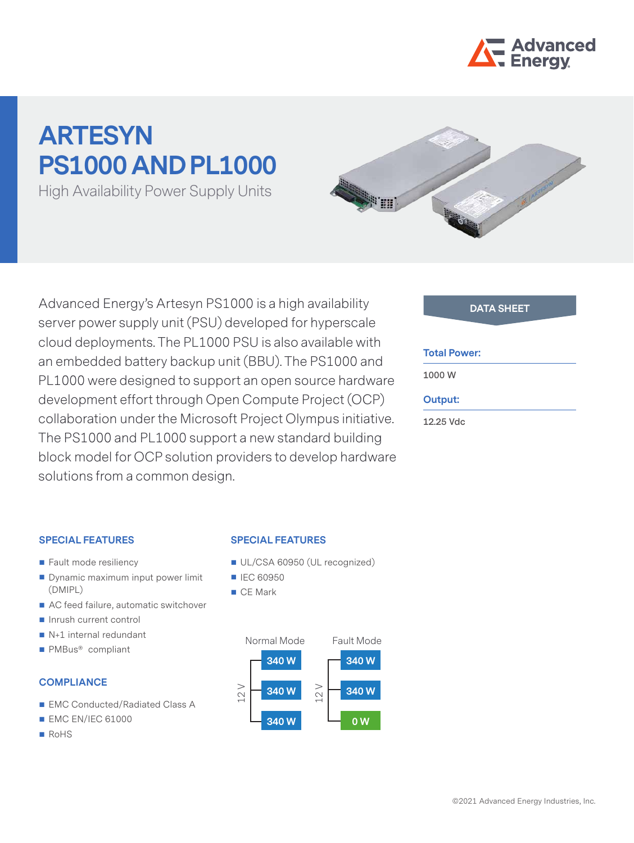

# **ARTESYN PS1000 AND PL1000**

High Availability Power Supply Units



Advanced Energy's Artesyn PS1000 is a high availability **DATA SHEET** server power supply unit (PSU) developed for hyperscale cloud deployments. The PL1000 PSU is also available with an embedded battery backup unit (BBU). The PS1000 and PL1000 were designed to support an open source hardware development effort through Open Compute Project (OCP) collaboration under the Microsoft Project Olympus initiative. The PS1000 and PL1000 support a new standard building block model for OCP solution providers to develop hardware solutions from a common design.

# **Total Power:**

**1000 W**

# **Output:**

**12.25 Vdc**

## **SPECIAL FEATURES**

- Fault mode resiliency
- Dynamic maximum input power limit (DMIPL)
- AC feed failure, automatic switchover
- **Inrush current control**
- N+1 internal redundant
- PMBus<sup>®</sup> compliant

# **COMPLIANCE**

- EMC Conducted/Radiated Class A
- **EMC EN/IEC 61000**
- RoHS

### **SPECIAL FEATURES**

- UL/CSA 60950 (UL recognized)
- **IEC 60950**
- CE Mark

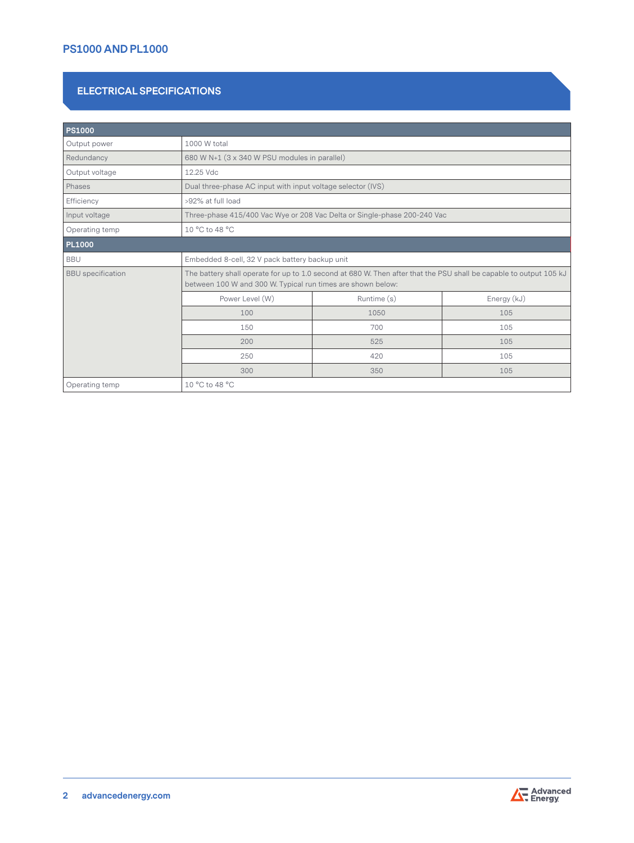# **ELECTRICAL SPECIFICATIONS**

| <b>PS1000</b>            |                                                                                                                                                                                   |             |             |  |
|--------------------------|-----------------------------------------------------------------------------------------------------------------------------------------------------------------------------------|-------------|-------------|--|
| Output power             | 1000 W total                                                                                                                                                                      |             |             |  |
| Redundancy               | 680 W N+1 (3 x 340 W PSU modules in parallel)                                                                                                                                     |             |             |  |
| Output voltage           | 12.25 Vdc                                                                                                                                                                         |             |             |  |
| Phases                   | Dual three-phase AC input with input voltage selector (IVS)                                                                                                                       |             |             |  |
| Efficiency               | >92% at full load                                                                                                                                                                 |             |             |  |
| Input voltage            | Three-phase 415/400 Vac Wye or 208 Vac Delta or Single-phase 200-240 Vac                                                                                                          |             |             |  |
| Operating temp           | 10 °C to 48 °C                                                                                                                                                                    |             |             |  |
| <b>PL1000</b>            |                                                                                                                                                                                   |             |             |  |
| <b>BBU</b>               | Embedded 8-cell, 32 V pack battery backup unit                                                                                                                                    |             |             |  |
| <b>BBU</b> specification | The battery shall operate for up to 1.0 second at 680 W. Then after that the PSU shall be capable to output 105 kJ<br>between 100 W and 300 W. Typical run times are shown below: |             |             |  |
|                          | Power Level (W)                                                                                                                                                                   | Runtime (s) | Energy (kJ) |  |
|                          | 100                                                                                                                                                                               | 1050        | 105         |  |
|                          | 150                                                                                                                                                                               | 700         | 105         |  |
|                          | 200                                                                                                                                                                               | 525         | 105         |  |
|                          | 250                                                                                                                                                                               | 420         | 105         |  |
|                          | 300                                                                                                                                                                               | 350         | 105         |  |
| Operating temp           | 10 °C to 48 °C                                                                                                                                                                    |             |             |  |

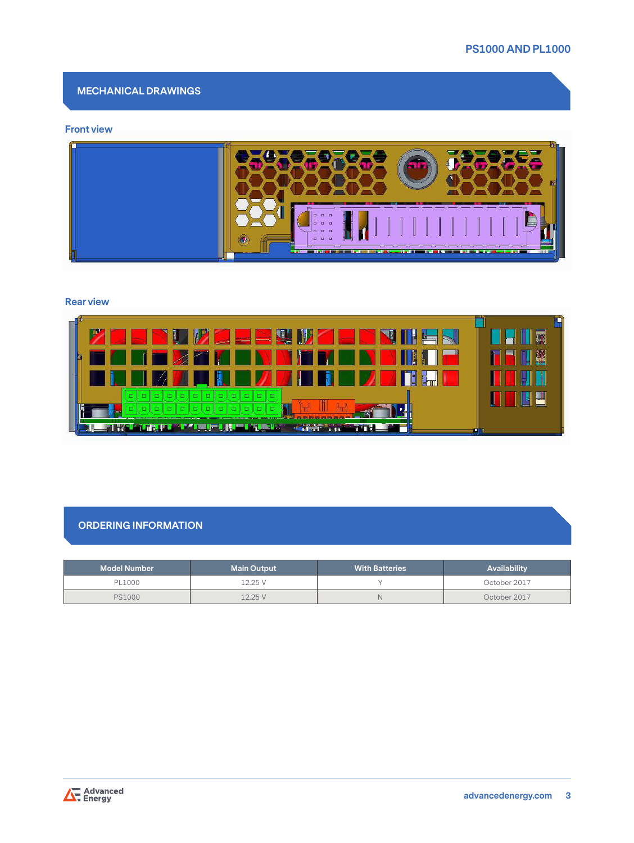# **MECHANICAL DRAWINGS**

# **Front view**



# **Rear view**



# **ORDERING INFORMATION**

| <b>Model Number</b> | <b>Main Output</b> | <b>With Batteries</b> | Availability |
|---------------------|--------------------|-----------------------|--------------|
| PL1000              | 12.25 V            |                       | October 2017 |
| PS1000              | 12.25 V            |                       | October 2017 |